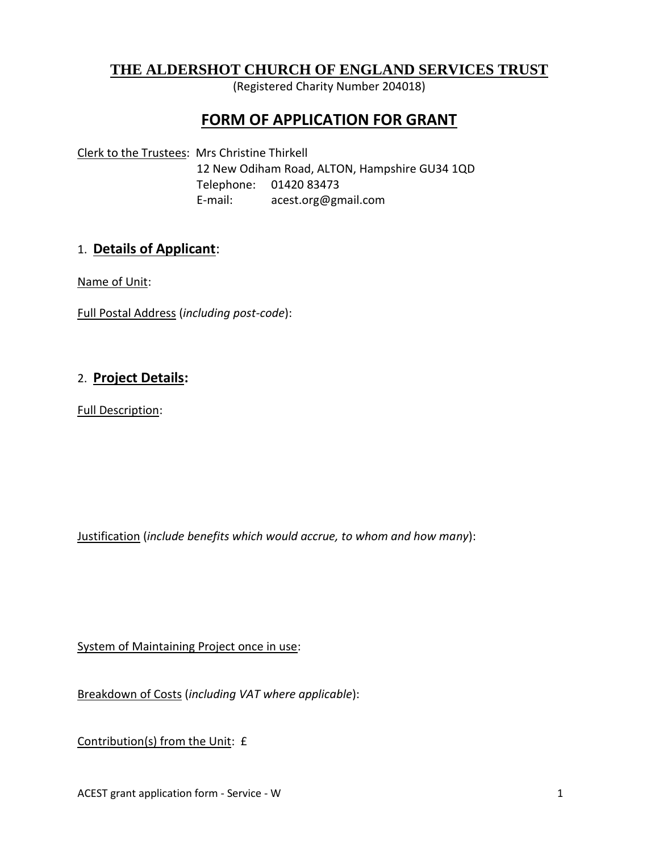## **THE ALDERSHOT CHURCH OF ENGLAND SERVICES TRUST**

(Registered Charity Number 204018)

# **FORM OF APPLICATION FOR GRANT**

Clerk to the Trustees: Mrs Christine Thirkell 12 New Odiham Road, ALTON, Hampshire GU34 1QD Telephone: 01420 83473 E-mail: acest.org@gmail.com

#### 1. **Details of Applicant**:

Name of Unit:

Full Postal Address (*including post-code*):

#### 2. **Project Details:**

Full Description:

Justification (*include benefits which would accrue, to whom and how many*):

System of Maintaining Project once in use:

Breakdown of Costs (*including VAT where applicable*):

Contribution(s) from the Unit: £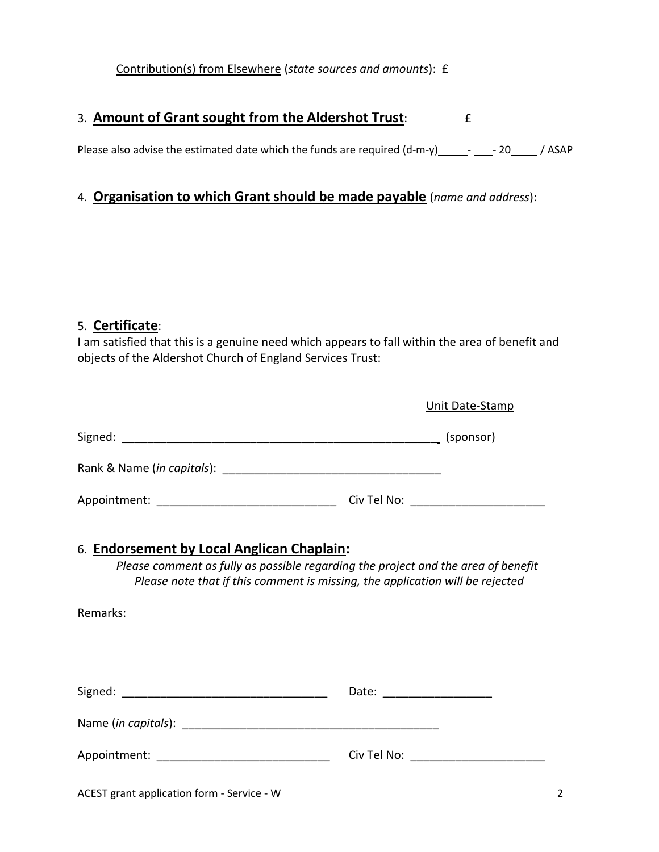Contribution(s) from Elsewhere (*state sources and amounts*): £

### 3. **Amount of Grant sought from the Aldershot Trust**:  $\qquad \qquad \text{f}$

Please also advise the estimated date which the funds are required  $(d-m-y)$  -  $-$  - 20  $-$  / ASAP

## 4. **Organisation to which Grant should be made payable** (*name and address*):

#### 5. **Certificate**:

I am satisfied that this is a genuine need which appears to fall within the area of benefit and objects of the Aldershot Church of England Services Trust:

|                                                                                                                                                                                                                              | Unit Date-Stamp                       |
|------------------------------------------------------------------------------------------------------------------------------------------------------------------------------------------------------------------------------|---------------------------------------|
|                                                                                                                                                                                                                              |                                       |
|                                                                                                                                                                                                                              |                                       |
| Appointment: __________________________________                                                                                                                                                                              |                                       |
| 6. Endorsement by Local Anglican Chaplain:<br>Please comment as fully as possible regarding the project and the area of benefit<br>Please note that if this comment is missing, the application will be rejected<br>Remarks: |                                       |
|                                                                                                                                                                                                                              |                                       |
|                                                                                                                                                                                                                              |                                       |
| Appointment: _______________________________                                                                                                                                                                                 | Civ Tel No: _________________________ |
|                                                                                                                                                                                                                              |                                       |